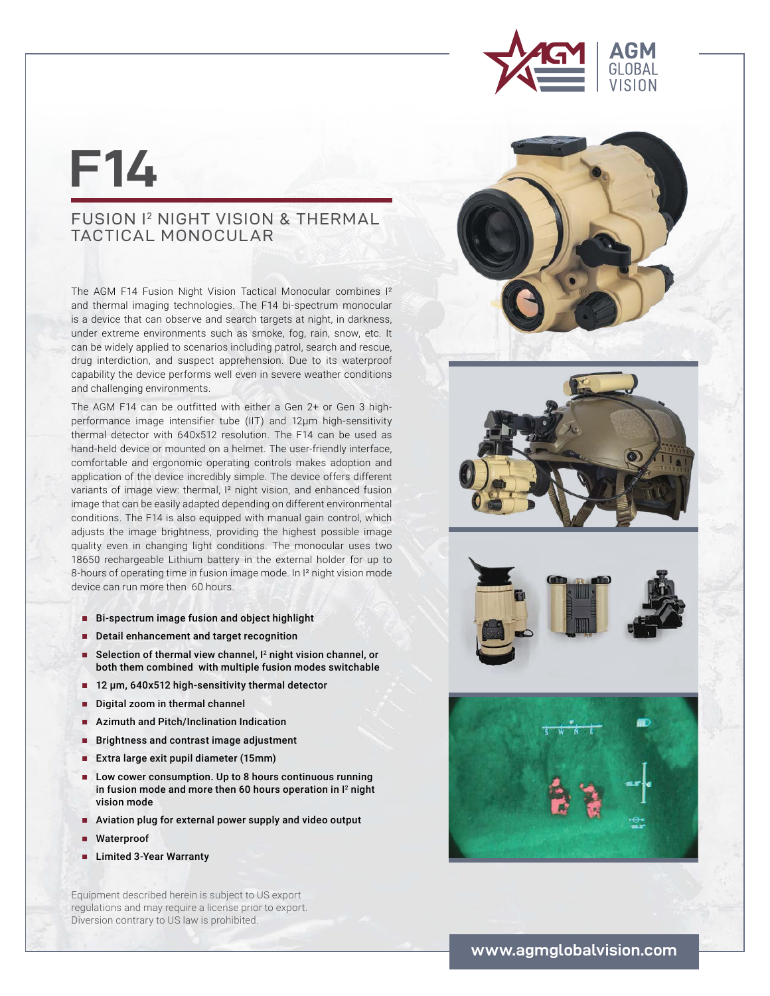

## **F14**

## FUSION I2 NIGHT VISION & THERMAL TACTICAL MONOCULAR

The AGM F14 Fusion Night Vision Tactical Monocular combines I² and thermal imaging technologies. The F14 bi-spectrum monocular is a device that can observe and search targets at night, in darkness, under extreme environments such as smoke, fog, rain, snow, etc. It can be widely applied to scenarios including patrol, search and rescue, drug interdiction, and suspect apprehension. Due to its waterproof capability the device performs well even in severe weather conditions and challenging environments.

The AGM F14 can be outfitted with either a Gen 2+ or Gen 3 highperformance image intensifier tube (IIT) and 12μm high-sensitivity thermal detector with 640x512 resolution. The F14 can be used as hand-held device or mounted on a helmet. The user-friendly interface, comfortable and ergonomic operating controls makes adoption and application of the device incredibly simple. The device offers different variants of image view: thermal, I² night vision, and enhanced fusion image that can be easily adapted depending on different environmental conditions. The F14 is also equipped with manual gain control, which adjusts the image brightness, providing the highest possible image quality even in changing light conditions. The monocular uses two 18650 rechargeable Lithium battery in the external holder for up to 8-hours of operating time in fusion image mode. In I² night vision mode device can run more then 60 hours.

- Bi-spectrum image fusion and object highlight
- **Detail enhancement and target recognition**
- Selection of thermal view channel,  $I<sup>2</sup>$  night vision channel, or both them combined with multiple fusion modes switchable
- **■** 12 μm, 640x512 high-sensitivity thermal detector
- Digital zoom in thermal channel
- Azimuth and Pitch/Inclination Indication
- Brightness and contrast image adjustment
- **■** Extra large exit pupil diameter (15mm)
- Low cower consumption. Up to 8 hours continuous running in fusion mode and more then 60 hours operation in  $I<sup>2</sup>$  night vision mode
- **■** Aviation plug for external power supply and video output
- Waterproof
- **■** Limited 3-Year Warranty

Equipment described herein is subject to US export regulations and may require a license prior to export. Diversion contrary to US law is prohibited.